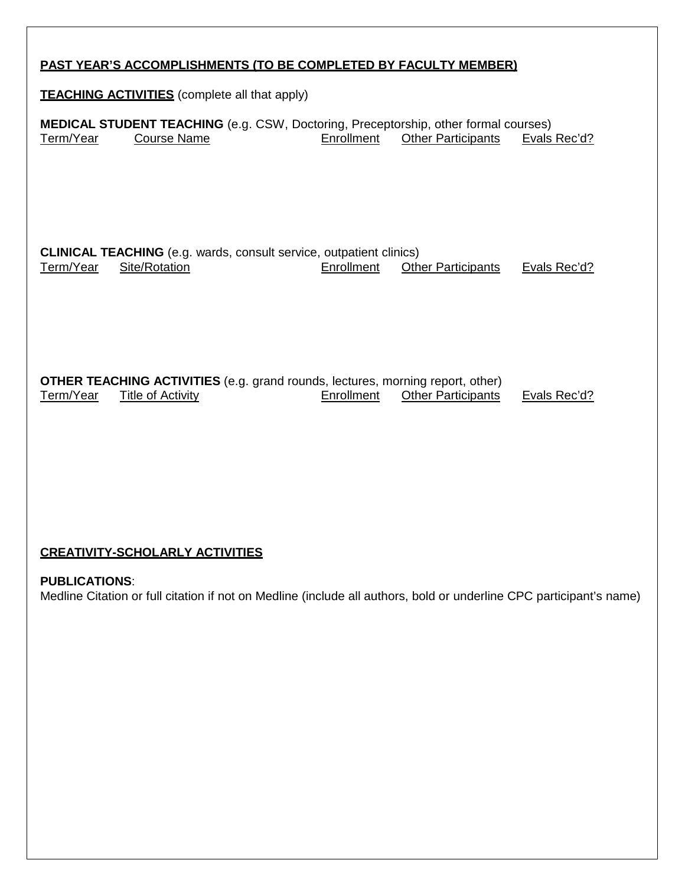| <b>PAST YEAR'S ACCOMPLISHMENTS (TO BE COMPLETED BY FACULTY MEMBER)</b> |                                                                                                                   |            |                           |              |  |  |  |
|------------------------------------------------------------------------|-------------------------------------------------------------------------------------------------------------------|------------|---------------------------|--------------|--|--|--|
| <b>TEACHING ACTIVITIES</b> (complete all that apply)                   |                                                                                                                   |            |                           |              |  |  |  |
| Term/Year                                                              | <b>MEDICAL STUDENT TEACHING</b> (e.g. CSW, Doctoring, Preceptorship, other formal courses)<br><b>Course Name</b>  | Enrollment | <b>Other Participants</b> | Evals Rec'd? |  |  |  |
| Term/Year                                                              | <b>CLINICAL TEACHING</b> (e.g. wards, consult service, outpatient clinics)<br>Site/Rotation                       | Enrollment | <b>Other Participants</b> | Evals Rec'd? |  |  |  |
| Term/Year                                                              | <b>OTHER TEACHING ACTIVITIES</b> (e.g. grand rounds, lectures, morning report, other)<br><b>Title of Activity</b> | Enrollment | <b>Other Participants</b> | Evals Rec'd? |  |  |  |
|                                                                        |                                                                                                                   |            |                           |              |  |  |  |

# **CREATIVITY-SCHOLARLY ACTIVITIES**

**PUBLICATIONS**: Medline Citation or full citation if not on Medline (include all authors, bold or underline CPC participant's name)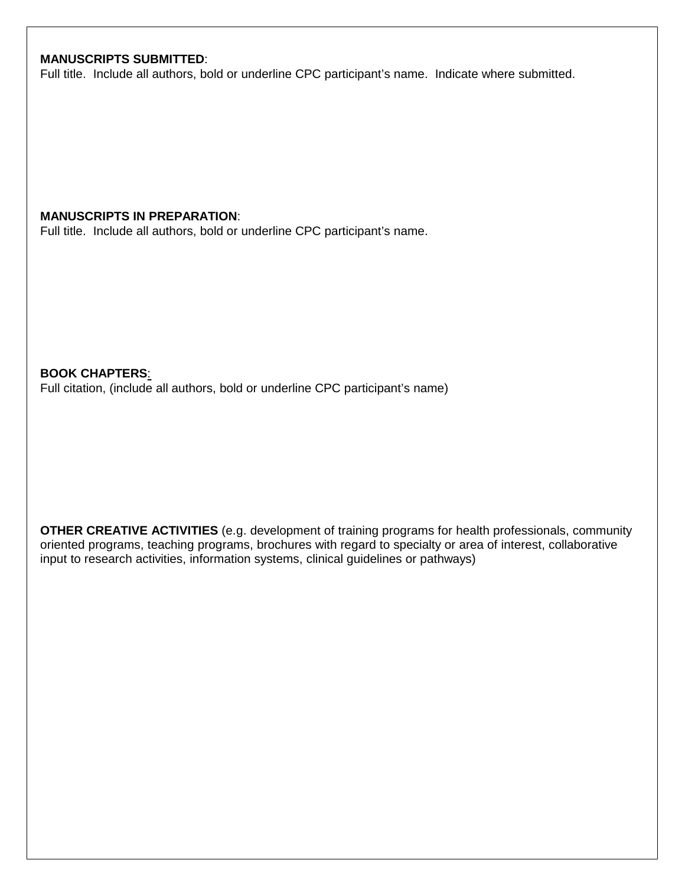## **MANUSCRIPTS SUBMITTED**:

Full title. Include all authors, bold or underline CPC participant's name. Indicate where submitted.

#### **MANUSCRIPTS IN PREPARATION**:

Full title. Include all authors, bold or underline CPC participant's name.

**BOOK CHAPTERS**: Full citation, (include all authors, bold or underline CPC participant's name)

**OTHER CREATIVE ACTIVITIES** (e.g. development of training programs for health professionals, community oriented programs, teaching programs, brochures with regard to specialty or area of interest, collaborative input to research activities, information systems, clinical guidelines or pathways)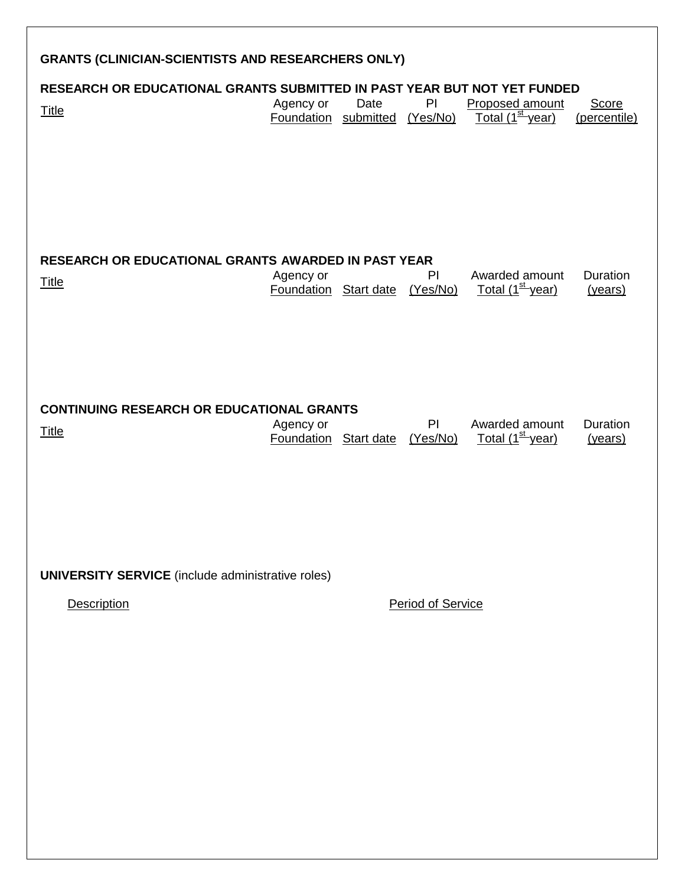| <b>GRANTS (CLINICIAN-SCIENTISTS AND RESEARCHERS ONLY)</b>                                |                                            |      |                          |                                                 |                              |
|------------------------------------------------------------------------------------------|--------------------------------------------|------|--------------------------|-------------------------------------------------|------------------------------|
| RESEARCH OR EDUCATIONAL GRANTS SUBMITTED IN PAST YEAR BUT NOT YET FUNDED<br><b>Title</b> | Agency or<br>Foundation submitted (Yes/No) | Date | PI                       | Proposed amount<br>Total (1 <sup>st</sup> year) | <b>Score</b><br>(percentile) |
| <b>RESEARCH OR EDUCATIONAL GRANTS AWARDED IN PAST YEAR</b><br><b>Title</b>               | Agency or<br>Foundation Start date         |      | PI<br>(Yes/No)           | Awarded amount<br>Total (1 <sup>st</sup> year)  | Duration<br>(years)          |
| <b>CONTINUING RESEARCH OR EDUCATIONAL GRANTS</b><br><b>Title</b>                         | Agency or<br><b>Foundation</b> Start date  |      | PI<br>(Yes/No)           | Awarded amount<br>Total (1 <sup>st</sup> year)  | Duration<br>(years)          |
| <b>UNIVERSITY SERVICE</b> (include administrative roles)<br><b>Description</b>           |                                            |      | <b>Period of Service</b> |                                                 |                              |
|                                                                                          |                                            |      |                          |                                                 |                              |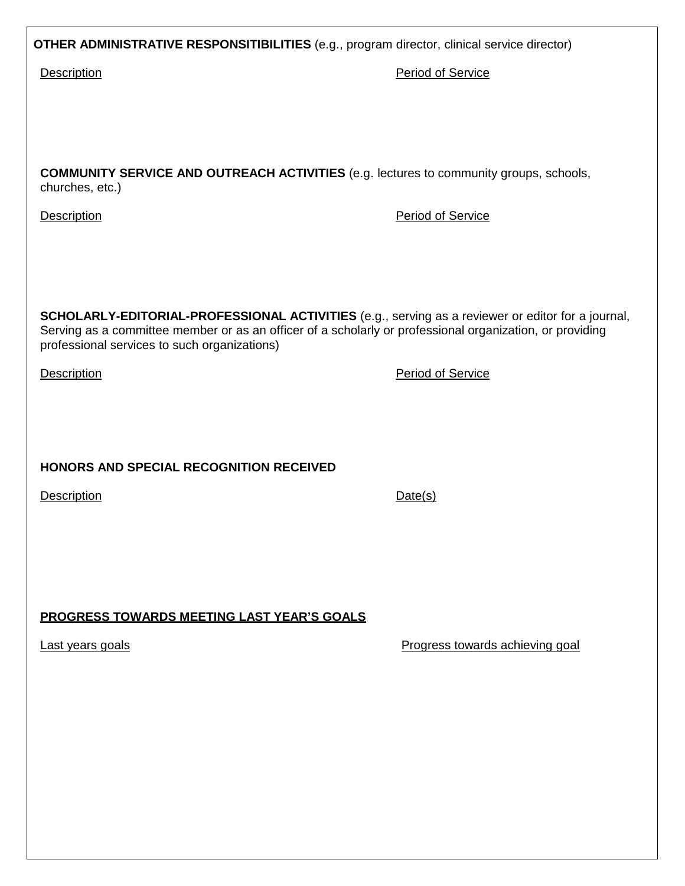**OTHER ADMINISTRATIVE RESPONSITIBILITIES** (e.g., program director, clinical service director)

Description **Period of Service** 

**COMMUNITY SERVICE AND OUTREACH ACTIVITIES** (e.g. lectures to community groups, schools, churches, etc.)

Description **Period of Service** 

**SCHOLARLY-EDITORIAL-PROFESSIONAL ACTIVITIES** (e.g., serving as a reviewer or editor for a journal, Serving as a committee member or as an officer of a scholarly or professional organization, or providing professional services to such organizations)

**HONORS AND SPECIAL RECOGNITION RECEIVED**

**Description** Date(s)

**PROGRESS TOWARDS MEETING LAST YEAR'S GOALS**

Last years goals **Progress** towards achieving goal

Description **Period of Service**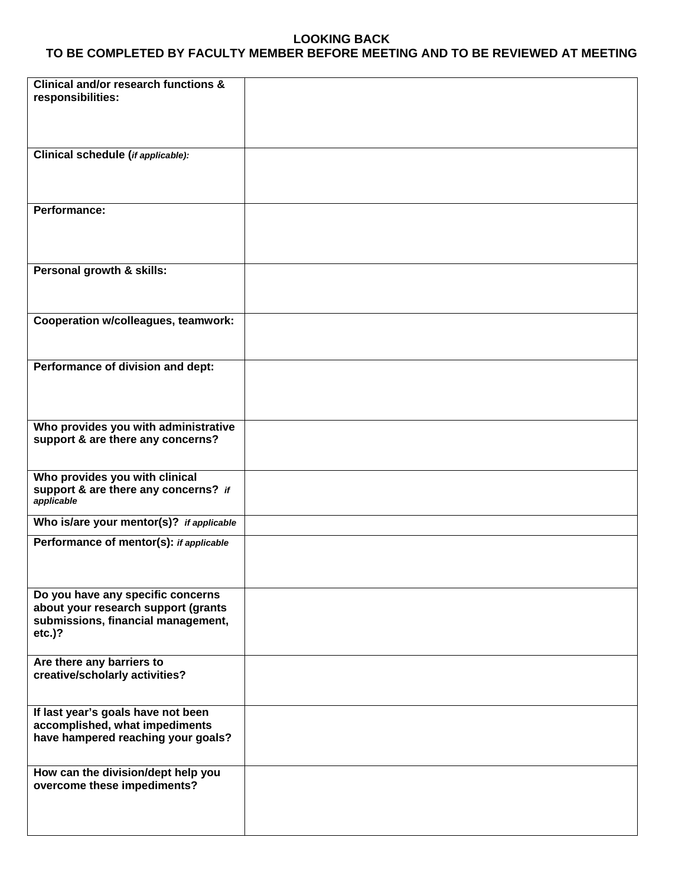#### **LOOKING BACK TO BE COMPLETED BY FACULTY MEMBER BEFORE MEETING AND TO BE REVIEWED AT MEETING**

| Clinical and/or research functions &<br>responsibilities:            |  |
|----------------------------------------------------------------------|--|
|                                                                      |  |
| Clinical schedule (if applicable):                                   |  |
|                                                                      |  |
|                                                                      |  |
| Performance:                                                         |  |
|                                                                      |  |
| Personal growth & skills:                                            |  |
|                                                                      |  |
| Cooperation w/colleagues, teamwork:                                  |  |
|                                                                      |  |
| Performance of division and dept:                                    |  |
|                                                                      |  |
|                                                                      |  |
| Who provides you with administrative                                 |  |
| support & are there any concerns?                                    |  |
| Who provides you with clinical                                       |  |
| support & are there any concerns? if<br>applicable                   |  |
| Who is/are your mentor(s)? if applicable                             |  |
| Performance of mentor(s): if applicable                              |  |
|                                                                      |  |
| Do you have any specific concerns                                    |  |
| about your research support (grants                                  |  |
| submissions, financial management,<br>$etc.$ )?                      |  |
|                                                                      |  |
| Are there any barriers to<br>creative/scholarly activities?          |  |
|                                                                      |  |
| If last year's goals have not been                                   |  |
| accomplished, what impediments<br>have hampered reaching your goals? |  |
|                                                                      |  |
| How can the division/dept help you<br>overcome these impediments?    |  |
|                                                                      |  |
|                                                                      |  |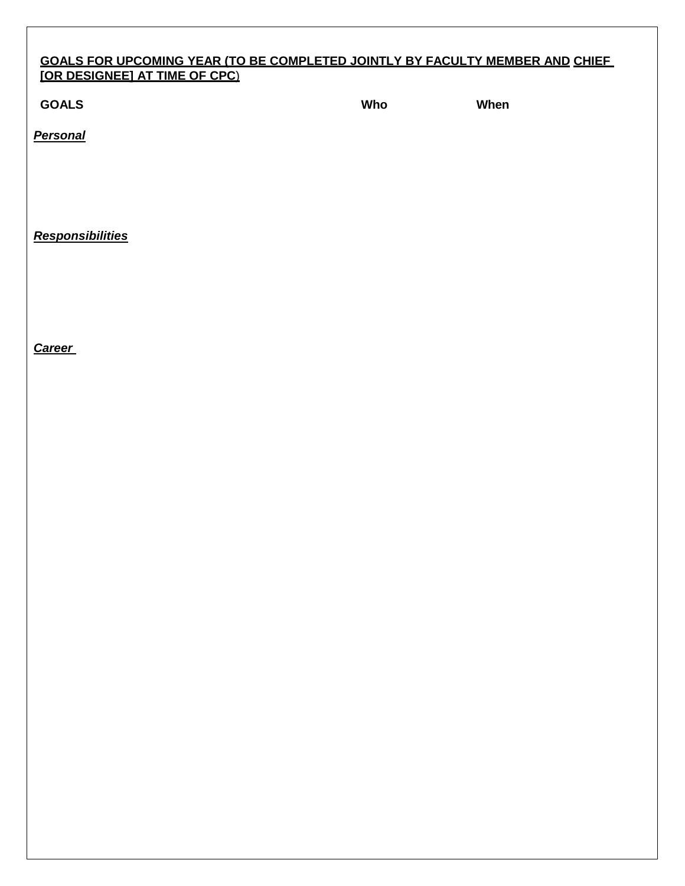### **GOALS FOR UPCOMING YEAR (TO BE COMPLETED JOINTLY BY FACULTY MEMBER AND CHIEF [OR DESIGNEE] AT TIME OF CPC**)

**GOALS Who When**

*Personal*

*Responsibilities*

*Career*